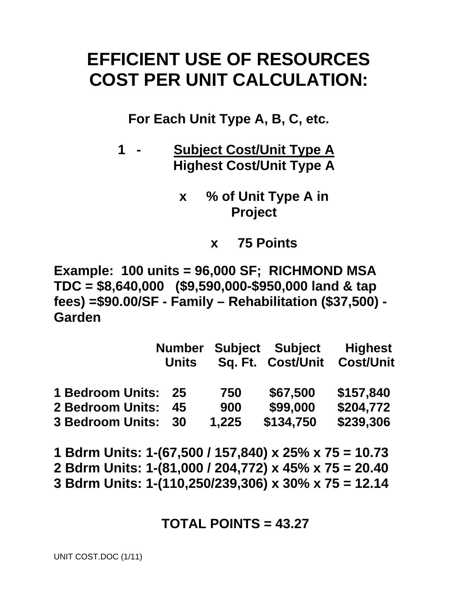# **EFFICIENT USE OF RESOURCES COST PER UNIT CALCULATION:**

**For Each Unit Type A, B, C, etc.** 

- **1 Subject Cost/Unit Type A Highest Cost/Unit Type A** 
	- **x % of Unit Type A in Project** 
		- **x 75 Points**

**Example: 100 units = 96,000 SF; RICHMOND MSA TDC = \$8,640,000 (\$9,590,000-\$950,000 land & tap fees) =\$90.00/SF - Family – Rehabilitation (\$37,500) - Garden** 

|                         | <b>Number</b> |       | <b>Subject Subject</b> | <b>Highest</b>   |  |
|-------------------------|---------------|-------|------------------------|------------------|--|
|                         | <b>Units</b>  |       | Sq. Ft. Cost/Unit      | <b>Cost/Unit</b> |  |
| <b>1 Bedroom Units:</b> | 25            | 750   | \$67,500               | \$157,840        |  |
| <b>2 Bedroom Units:</b> | 45            | 900   | \$99,000               | \$204,772        |  |
| <b>3 Bedroom Units:</b> | 30            | 1,225 | \$134,750              | \$239,306        |  |

**1 Bdrm Units: 1-(67,500 / 157,840) x 25% x 75 = 10.73 2 Bdrm Units: 1-(81,000 / 204,772) x 45% x 75 = 20.40 3 Bdrm Units: 1-(110,250/239,306) x 30% x 75 = 12.14** 

## **TOTAL POINTS = 43.27**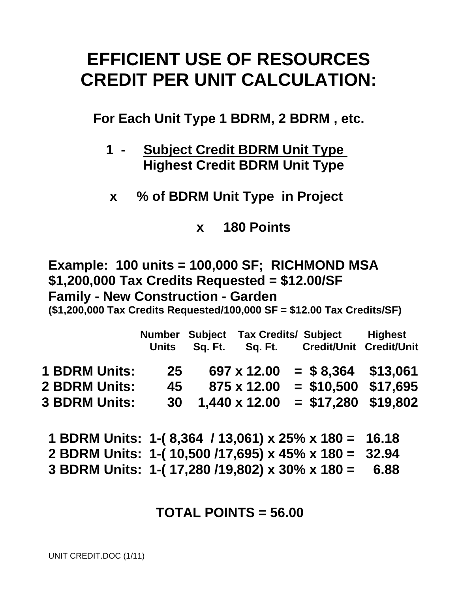# **EFFICIENT USE OF RESOURCES CREDIT PER UNIT CALCULATION:**

**For Each Unit Type 1 BDRM, 2 BDRM , etc.** 

- **1 Subject Credit BDRM Unit Type Highest Credit BDRM Unit Type**
- **x % of BDRM Unit Type in Project**

**x 180 Points** 

**Example: 100 units = 100,000 SF; RICHMOND MSA \$1,200,000 Tax Credits Requested = \$12.00/SF Family - New Construction - Garden** 

**(\$1,200,000 Tax Credits Requested/100,000 SF = \$12.00 Tax Credits/SF)** 

|                      | Units     | Sq. Ft. | Number Subject Tax Credits/ Subject | Sq. Ft. Credit/Unit Credit/Unit | <b>Highest</b> |
|----------------------|-----------|---------|-------------------------------------|---------------------------------|----------------|
| <b>1 BDRM Units:</b> | 25        |         | 697 x 12.00                         | $=$ \$8,364 \$13,061            |                |
| <b>2 BDRM Units:</b> | 45        |         | 875 x 12.00                         | $=$ \$10,500 \$17,695           |                |
| <b>3 BDRM Units:</b> | <b>30</b> |         | 1,440 x 12.00                       | $= $17,280$ \$19,802            |                |
|                      |           |         |                                     |                                 |                |

**1 BDRM Units: 1-( 8,364 / 13,061) x 25% x 180 = 16.18 2 BDRM Units: 1-( 10,500 /17,695) x 45% x 180 = 32.94 3 BDRM Units: 1-( 17,280 /19,802) x 30% x 180 = 6.88** 

## **TOTAL POINTS = 56.00**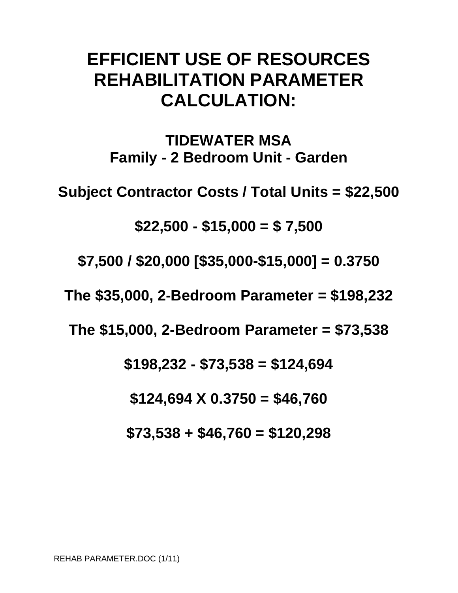# **EFFICIENT USE OF RESOURCES REHABILITATION PARAMETER CALCULATION:**

**TIDEWATER MSA Family - 2 Bedroom Unit - Garden** 

**Subject Contractor Costs / Total Units = \$22,500** 

**\$22,500 - \$15,000 = \$ 7,500** 

**\$7,500 / \$20,000 [\$35,000-\$15,000] = 0.3750** 

**The \$35,000, 2-Bedroom Parameter = \$198,232** 

**The \$15,000, 2-Bedroom Parameter = \$73,538** 

**\$198,232 - \$73,538 = \$124,694** 

**\$124,694 X 0.3750 = \$46,760** 

**\$73,538 + \$46,760 = \$120,298**